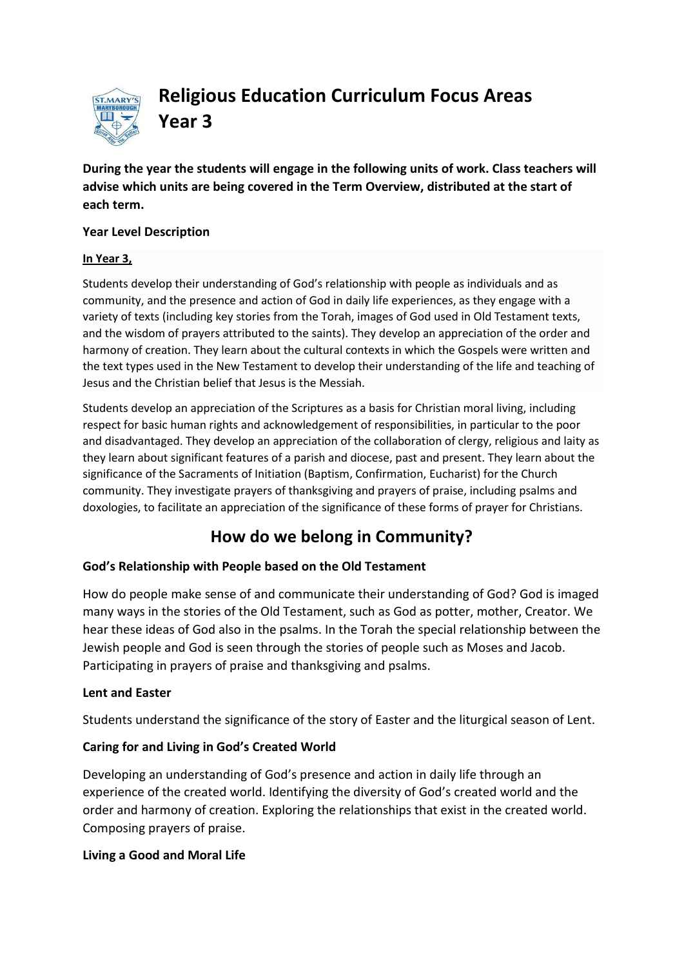

**Religious Education Curriculum Focus Areas Year 3**

**During the year the students will engage in the following units of work. Class teachers will advise which units are being covered in the Term Overview, distributed at the start of each term.**

### **Year Level Description**

### **In Year 3,**

Students develop their understanding of God's relationship with people as individuals and as community, and the presence and action of God in daily life experiences, as they engage with a variety of texts (including key stories from th[e Torah,](http://www.rec.bne.catholic.edu.au/Pages/Religious-Education.aspx) images of God used in [Old Testament](http://www.rec.bne.catholic.edu.au/Pages/Religious-Education.aspx) texts, and th[e wisdom](http://www.rec.bne.catholic.edu.au/Pages/Religious-Education.aspx) of prayers attributed to the saints). They develop an appreciation of the order and harmony of creation. They learn about the cultural contexts in which the Gospels were written and the text types used in the [New Testament](http://www.rec.bne.catholic.edu.au/Pages/Religious-Education.aspx) to develop their understanding of the life and teaching of Jesus and the Christian belief that Jesus is the [Messiah.](http://www.rec.bne.catholic.edu.au/Pages/Religious-Education.aspx)

Students develop an appreciation of the [Scriptures](http://www.rec.bne.catholic.edu.au/Pages/Religious-Education.aspx) as a basis for Christian moral living, including respect for basic human rights and acknowledgement of responsibilities, in particular to the poor and disadvantaged. They develop an appreciation of the collaboration of clergy, religious and laity as they learn about significant features of a parish and diocese, past and present. They learn about the significance of the Sacraments of Initiation (Baptism, Confirmation, [Eucharist\)](http://www.rec.bne.catholic.edu.au/Pages/Religious-Education.aspx) for the Church community. They investigate prayers of thanksgiving and prayers of praise, including [psalms](http://www.rec.bne.catholic.edu.au/Pages/Religious-Education.aspx) and doxologies, to facilitate an appreciation of the significance of these forms of prayer for Christians.

# **How do we belong in Community?**

# **God's Relationship with People based on the Old Testament**

How do people make sense of and communicate their understanding of God? God is imaged many ways in the stories of the Old Testament, such as God as potter, mother, Creator. We hear these ideas of God also in the psalms. In the Torah the special relationship between the Jewish people and God is seen through the stories of people such as Moses and Jacob. Participating in prayers of praise and thanksgiving and psalms.

# **Lent and Easter**

Students understand the significance of the story of Easter and the liturgical season of Lent.

# **Caring for and Living in God's Created World**

Developing an understanding of God's presence and action in daily life through an experience of the created world. Identifying the diversity of God's created world and the order and harmony of creation. Exploring the relationships that exist in the created world. Composing prayers of praise.

# **Living a Good and Moral Life**